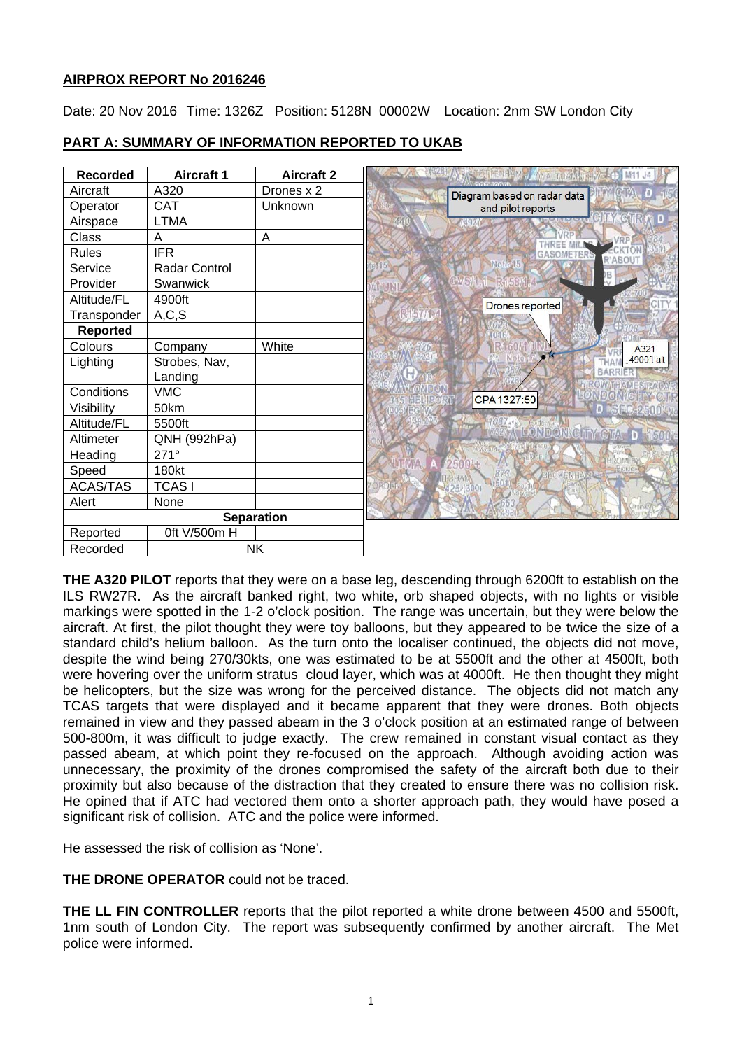# **AIRPROX REPORT No 2016246**

Date: 20 Nov 2016 Time: 1326Z Position: 5128N 00002W Location: 2nm SW London City

| <b>Recorded</b>   | <b>Aircraft 1</b> | <b>Aircraft 2</b> |     | <b>TENT YOU A MACTERING THE</b> | M11 J4                         |
|-------------------|-------------------|-------------------|-----|---------------------------------|--------------------------------|
| Aircraft          | A320              | Drones x 2        |     | Diagram based on radar data     |                                |
| Operator          | <b>CAT</b>        | Unknown           |     | and pilot reports               |                                |
| Airspace          | <b>LTMA</b>       |                   | 440 | 70492                           |                                |
| Class             | A                 | A                 |     |                                 |                                |
| <b>Rules</b>      | <b>IFR</b>        |                   |     | <b>GASOMETERS</b>               | R'ABOUT                        |
| Service           | Radar Control     |                   |     | Note                            | )B                             |
| Provider          | Swanwick          |                   |     |                                 |                                |
| Altitude/FL       | 4900ft            |                   |     | Drones reported                 |                                |
| Transponder       | A, C, S           |                   |     |                                 |                                |
| <b>Reported</b>   |                   |                   |     |                                 |                                |
| Colours           | Company           | White             |     |                                 | A321                           |
| Lighting          | Strobes, Nav,     |                   |     |                                 | 14900ft alt                    |
|                   | Landing           |                   |     |                                 | BARR<br><b>HIROWITHAMES RA</b> |
| Conditions        | <b>VMC</b>        |                   |     | CPA 1327:50                     | NDONGHIY                       |
| Visibility        | 50km              |                   |     |                                 | D SFC-2500' M                  |
| Altitude/FL       | 5500ft            |                   |     |                                 | LONDONIGHT GTA D 1500-         |
| Altimeter         | QNH (992hPa)      |                   |     |                                 |                                |
| Heading           | $271^\circ$       |                   |     |                                 |                                |
| Speed             | 180kt             |                   |     |                                 |                                |
| <b>ACAS/TAS</b>   | <b>TCASI</b>      |                   |     |                                 |                                |
| Alert             | None              |                   |     |                                 |                                |
| <b>Separation</b> |                   |                   |     |                                 |                                |
| Reported          | 0ft V/500m H      |                   |     |                                 |                                |
| Recorded          | <b>NK</b>         |                   |     |                                 |                                |

# **PART A: SUMMARY OF INFORMATION REPORTED TO UKAB**

**THE A320 PILOT** reports that they were on a base leg, descending through 6200ft to establish on the ILS RW27R. As the aircraft banked right, two white, orb shaped objects, with no lights or visible markings were spotted in the 1-2 o'clock position. The range was uncertain, but they were below the aircraft. At first, the pilot thought they were toy balloons, but they appeared to be twice the size of a standard child's helium balloon. As the turn onto the localiser continued, the objects did not move, despite the wind being 270/30kts, one was estimated to be at 5500ft and the other at 4500ft, both were hovering over the uniform stratus cloud layer, which was at 4000ft. He then thought they might be helicopters, but the size was wrong for the perceived distance. The objects did not match any TCAS targets that were displayed and it became apparent that they were drones. Both objects remained in view and they passed abeam in the 3 o'clock position at an estimated range of between 500-800m, it was difficult to judge exactly. The crew remained in constant visual contact as they passed abeam, at which point they re-focused on the approach. Although avoiding action was unnecessary, the proximity of the drones compromised the safety of the aircraft both due to their proximity but also because of the distraction that they created to ensure there was no collision risk. He opined that if ATC had vectored them onto a shorter approach path, they would have posed a significant risk of collision. ATC and the police were informed.

He assessed the risk of collision as 'None'.

**THE DRONE OPERATOR** could not be traced.

**THE LL FIN CONTROLLER** reports that the pilot reported a white drone between 4500 and 5500ft, 1nm south of London City. The report was subsequently confirmed by another aircraft. The Met police were informed.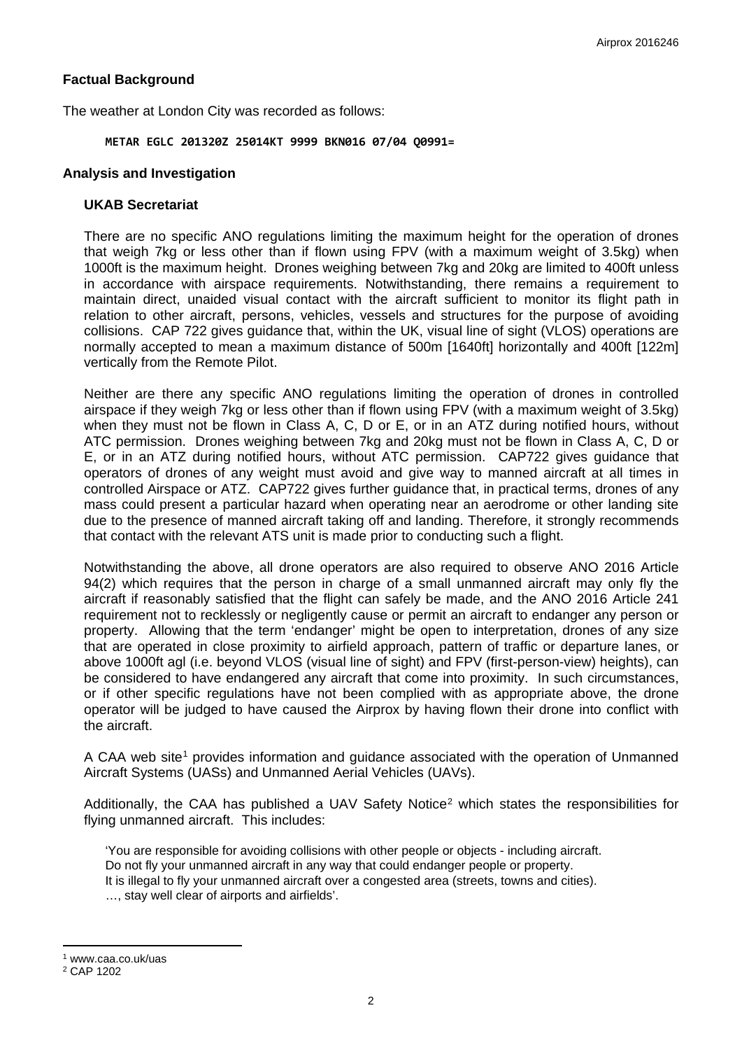## **Factual Background**

The weather at London City was recorded as follows:

#### **METAR EGLC 201320Z 25014KT 9999 BKN016 07/04 Q0991=**

### **Analysis and Investigation**

#### **UKAB Secretariat**

There are no specific ANO regulations limiting the maximum height for the operation of drones that weigh 7kg or less other than if flown using FPV (with a maximum weight of 3.5kg) when 1000ft is the maximum height. Drones weighing between 7kg and 20kg are limited to 400ft unless in accordance with airspace requirements. Notwithstanding, there remains a requirement to maintain direct, unaided visual contact with the aircraft sufficient to monitor its flight path in relation to other aircraft, persons, vehicles, vessels and structures for the purpose of avoiding collisions. CAP 722 gives guidance that, within the UK, visual line of sight (VLOS) operations are normally accepted to mean a maximum distance of 500m [1640ft] horizontally and 400ft [122m] vertically from the Remote Pilot.

Neither are there any specific ANO regulations limiting the operation of drones in controlled airspace if they weigh 7kg or less other than if flown using FPV (with a maximum weight of 3.5kg) when they must not be flown in Class A, C, D or E, or in an ATZ during notified hours, without ATC permission. Drones weighing between 7kg and 20kg must not be flown in Class A, C, D or E, or in an ATZ during notified hours, without ATC permission. CAP722 gives guidance that operators of drones of any weight must avoid and give way to manned aircraft at all times in controlled Airspace or ATZ. CAP722 gives further guidance that, in practical terms, drones of any mass could present a particular hazard when operating near an aerodrome or other landing site due to the presence of manned aircraft taking off and landing. Therefore, it strongly recommends that contact with the relevant ATS unit is made prior to conducting such a flight.

Notwithstanding the above, all drone operators are also required to observe ANO 2016 Article 94(2) which requires that the person in charge of a small unmanned aircraft may only fly the aircraft if reasonably satisfied that the flight can safely be made, and the ANO 2016 Article 241 requirement not to recklessly or negligently cause or permit an aircraft to endanger any person or property. Allowing that the term 'endanger' might be open to interpretation, drones of any size that are operated in close proximity to airfield approach, pattern of traffic or departure lanes, or above 1000ft agl (i.e. beyond VLOS (visual line of sight) and FPV (first-person-view) heights), can be considered to have endangered any aircraft that come into proximity. In such circumstances, or if other specific regulations have not been complied with as appropriate above, the drone operator will be judged to have caused the Airprox by having flown their drone into conflict with the aircraft.

A CAA web site<sup>[1](#page-1-0)</sup> provides information and guidance associated with the operation of Unmanned Aircraft Systems (UASs) and Unmanned Aerial Vehicles (UAVs).

Additionally, the CAA has published a UAV Safety Notice<sup>[2](#page-1-1)</sup> which states the responsibilities for flying unmanned aircraft. This includes:

'You are responsible for avoiding collisions with other people or objects - including aircraft. Do not fly your unmanned aircraft in any way that could endanger people or property. It is illegal to fly your unmanned aircraft over a congested area (streets, towns and cities). …, stay well clear of airports and airfields'.

 $\overline{a}$ 

<span id="page-1-0"></span><sup>1</sup> www.caa.co.uk/uas

<span id="page-1-1"></span><sup>2</sup> CAP 1202